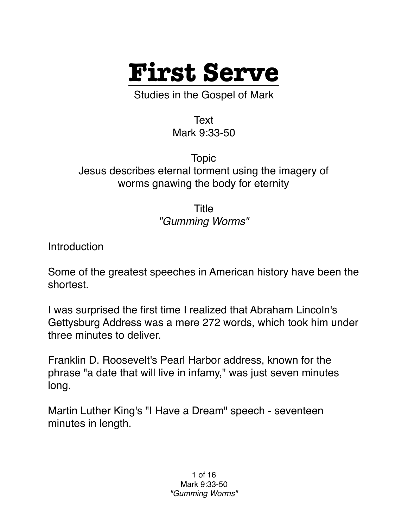

Studies in the Gospel of Mark

Text Mark 9:33-50

Topic Jesus describes eternal torment using the imagery of worms gnawing the body for eternity

> Title *"Gumming Worms"*

Introduction

Some of the greatest speeches in American history have been the shortest.

I was surprised the first time I realized that Abraham Lincoln's Gettysburg Address was a mere 272 words, which took him under three minutes to deliver.

Franklin D. Roosevelt's Pearl Harbor address, known for the phrase "a date that will live in infamy," was just seven minutes long.

Martin Luther King's "I Have a Dream" speech - seventeen minutes in length.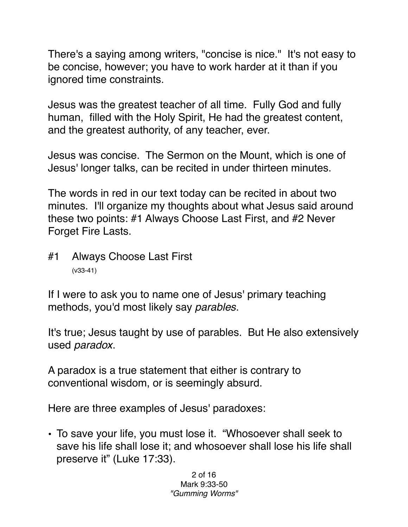There's a saying among writers, "concise is nice." It's not easy to be concise, however; you have to work harder at it than if you ignored time constraints.

Jesus was the greatest teacher of all time. Fully God and fully human, filled with the Holy Spirit, He had the greatest content, and the greatest authority, of any teacher, ever.

Jesus was concise. The Sermon on the Mount, which is one of Jesus' longer talks, can be recited in under thirteen minutes.

The words in red in our text today can be recited in about two minutes. I'll organize my thoughts about what Jesus said around these two points: #1 Always Choose Last First, and #2 Never Forget Fire Lasts.

#1 Always Choose Last First (v33-41)

If I were to ask you to name one of Jesus' primary teaching methods, you'd most likely say *parables*.

It's true; Jesus taught by use of parables. But He also extensively used *paradox*.

A paradox is a true statement that either is contrary to conventional wisdom, or is seemingly absurd.

Here are three examples of Jesus' paradoxes:

• To save your life, you must lose it. "Whosoever shall seek to save his life shall lose it; and whosoever shall lose his life shall preserve it" (Luke 17:33).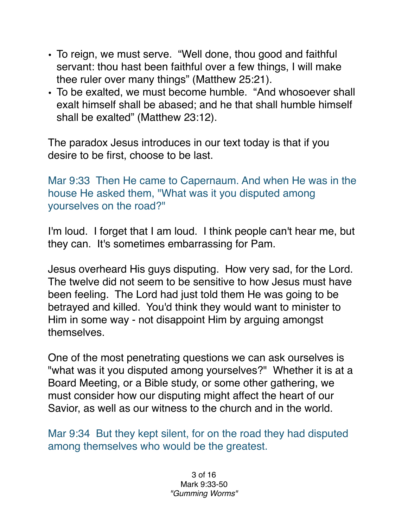- To reign, we must serve. "Well done, thou good and faithful servant: thou hast been faithful over a few things, I will make thee ruler over many things" (Matthew 25:21).
- To be exalted, we must become humble. "And whosoever shall exalt himself shall be abased; and he that shall humble himself shall be exalted" (Matthew 23:12).

The paradox Jesus introduces in our text today is that if you desire to be first, choose to be last.

Mar 9:33 Then He came to Capernaum. And when He was in the house He asked them, "What was it you disputed among yourselves on the road?"

I'm loud. I forget that I am loud. I think people can't hear me, but they can. It's sometimes embarrassing for Pam.

Jesus overheard His guys disputing. How very sad, for the Lord. The twelve did not seem to be sensitive to how Jesus must have been feeling. The Lord had just told them He was going to be betrayed and killed. You'd think they would want to minister to Him in some way - not disappoint Him by arguing amongst themselves.

One of the most penetrating questions we can ask ourselves is "what was it you disputed among yourselves?" Whether it is at a Board Meeting, or a Bible study, or some other gathering, we must consider how our disputing might affect the heart of our Savior, as well as our witness to the church and in the world.

Mar 9:34 But they kept silent, for on the road they had disputed among themselves who would be the greatest.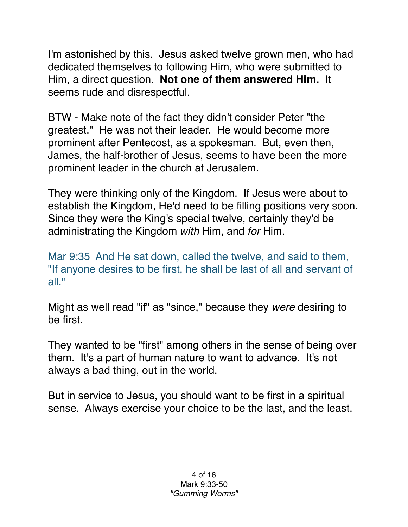I'm astonished by this. Jesus asked twelve grown men, who had dedicated themselves to following Him, who were submitted to Him, a direct question. **Not one of them answered Him.** It seems rude and disrespectful.

BTW - Make note of the fact they didn't consider Peter "the greatest." He was not their leader. He would become more prominent after Pentecost, as a spokesman. But, even then, James, the half-brother of Jesus, seems to have been the more prominent leader in the church at Jerusalem.

They were thinking only of the Kingdom. If Jesus were about to establish the Kingdom, He'd need to be filling positions very soon. Since they were the King's special twelve, certainly they'd be administrating the Kingdom *with* Him, and *for* Him.

Mar 9:35 And He sat down, called the twelve, and said to them, "If anyone desires to be first, he shall be last of all and servant of all."

Might as well read "if" as "since," because they *were* desiring to be first.

They wanted to be "first" among others in the sense of being over them. It's a part of human nature to want to advance. It's not always a bad thing, out in the world.

But in service to Jesus, you should want to be first in a spiritual sense. Always exercise your choice to be the last, and the least.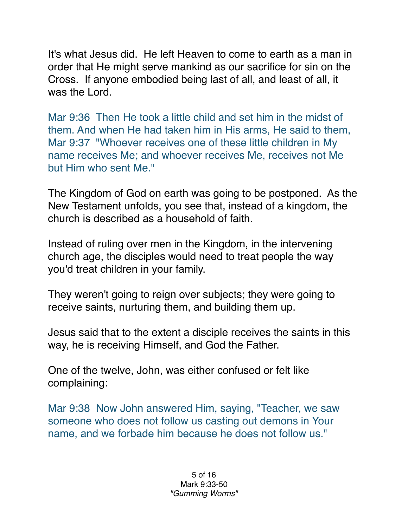It's what Jesus did. He left Heaven to come to earth as a man in order that He might serve mankind as our sacrifice for sin on the Cross. If anyone embodied being last of all, and least of all, it was the Lord.

Mar 9:36 Then He took a little child and set him in the midst of them. And when He had taken him in His arms, He said to them, Mar 9:37 "Whoever receives one of these little children in My name receives Me; and whoever receives Me, receives not Me but Him who sent Me."

The Kingdom of God on earth was going to be postponed. As the New Testament unfolds, you see that, instead of a kingdom, the church is described as a household of faith.

Instead of ruling over men in the Kingdom, in the intervening church age, the disciples would need to treat people the way you'd treat children in your family.

They weren't going to reign over subjects; they were going to receive saints, nurturing them, and building them up.

Jesus said that to the extent a disciple receives the saints in this way, he is receiving Himself, and God the Father.

One of the twelve, John, was either confused or felt like complaining:

Mar 9:38 Now John answered Him, saying, "Teacher, we saw someone who does not follow us casting out demons in Your name, and we forbade him because he does not follow us."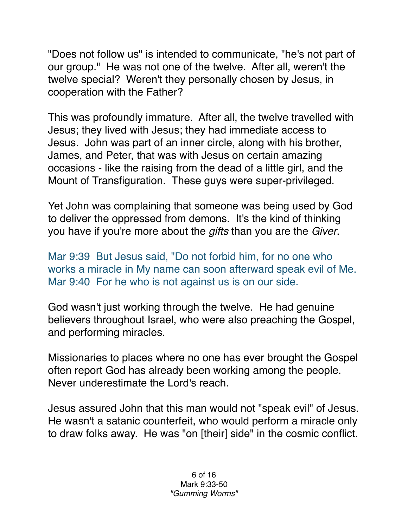"Does not follow us" is intended to communicate, "he's not part of our group." He was not one of the twelve. After all, weren't the twelve special? Weren't they personally chosen by Jesus, in cooperation with the Father?

This was profoundly immature. After all, the twelve travelled with Jesus; they lived with Jesus; they had immediate access to Jesus. John was part of an inner circle, along with his brother, James, and Peter, that was with Jesus on certain amazing occasions - like the raising from the dead of a little girl, and the Mount of Transfiguration. These guys were super-privileged.

Yet John was complaining that someone was being used by God to deliver the oppressed from demons. It's the kind of thinking you have if you're more about the *gifts* than you are the *Giver*.

Mar 9:39 But Jesus said, "Do not forbid him, for no one who works a miracle in My name can soon afterward speak evil of Me. Mar 9:40 For he who is not against us is on our side.

God wasn't just working through the twelve. He had genuine believers throughout Israel, who were also preaching the Gospel, and performing miracles.

Missionaries to places where no one has ever brought the Gospel often report God has already been working among the people. Never underestimate the Lord's reach.

Jesus assured John that this man would not "speak evil" of Jesus. He wasn't a satanic counterfeit, who would perform a miracle only to draw folks away. He was "on [their] side" in the cosmic conflict.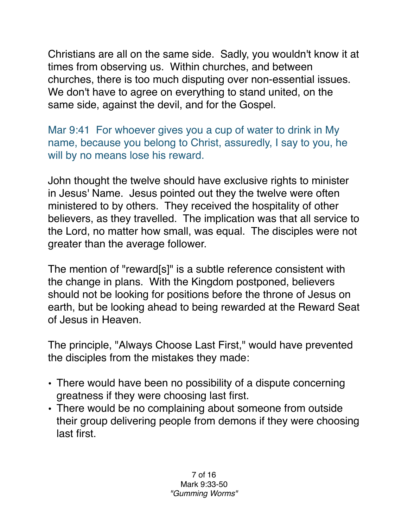Christians are all on the same side. Sadly, you wouldn't know it at times from observing us. Within churches, and between churches, there is too much disputing over non-essential issues. We don't have to agree on everything to stand united, on the same side, against the devil, and for the Gospel.

Mar 9:41 For whoever gives you a cup of water to drink in My name, because you belong to Christ, assuredly, I say to you, he will by no means lose his reward.

John thought the twelve should have exclusive rights to minister in Jesus' Name. Jesus pointed out they the twelve were often ministered to by others. They received the hospitality of other believers, as they travelled. The implication was that all service to the Lord, no matter how small, was equal. The disciples were not greater than the average follower.

The mention of "reward[s]" is a subtle reference consistent with the change in plans. With the Kingdom postponed, believers should not be looking for positions before the throne of Jesus on earth, but be looking ahead to being rewarded at the Reward Seat of Jesus in Heaven.

The principle, "Always Choose Last First," would have prevented the disciples from the mistakes they made:

- There would have been no possibility of a dispute concerning greatness if they were choosing last first.
- There would be no complaining about someone from outside their group delivering people from demons if they were choosing last first.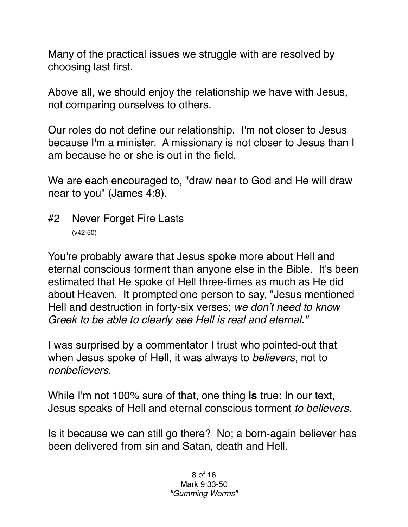Many of the practical issues we struggle with are resolved by choosing last first.

Above all, we should enjoy the relationship we have with Jesus, not comparing ourselves to others.

Our roles do not define our relationship. I'm not closer to Jesus because I'm a minister. A missionary is not closer to Jesus than I am because he or she is out in the field.

We are each encouraged to, "draw near to God and He will draw near to you" (James 4:8).

#2 Never Forget Fire Lasts (v42-50)

You're probably aware that Jesus spoke more about Hell and eternal conscious torment than anyone else in the Bible. It's been estimated that He spoke of Hell three-times as much as He did about Heaven. It prompted one person to say, "Jesus mentioned Hell and destruction in forty-six verses; *we don't need to know Greek to be able to clearly see Hell is real and eternal."*

I was surprised by a commentator I trust who pointed-out that when Jesus spoke of Hell, it was always to *believers*, not to *nonbelievers*.

While I'm not 100% sure of that, one thing **is** true: In our text, Jesus speaks of Hell and eternal conscious torment *to believers.*

Is it because we can still go there? No; a born-again believer has been delivered from sin and Satan, death and Hell.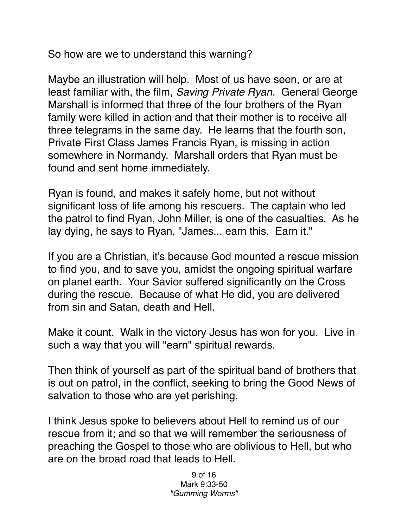So how are we to understand this warning?

Maybe an illustration will help. Most of us have seen, or are at least familiar with, the film, *Saving Private Ryan*. General George Marshall is informed that three of the four brothers of the Ryan family were killed in action and that their mother is to receive all three telegrams in the same day. He learns that the fourth son, Private First Class James Francis Ryan, is missing in action somewhere in Normandy. Marshall orders that Ryan must be found and sent home immediately.

Ryan is found, and makes it safely home, but not without significant loss of life among his rescuers. The captain who led the patrol to find Ryan, John Miller, is one of the casualties. As he lay dying, he says to Ryan, "James... earn this. Earn it."

If you are a Christian, it's because God mounted a rescue mission to find you, and to save you, amidst the ongoing spiritual warfare on planet earth. Your Savior suffered significantly on the Cross during the rescue. Because of what He did, you are delivered from sin and Satan, death and Hell.

Make it count. Walk in the victory Jesus has won for you. Live in such a way that you will "earn" spiritual rewards.

Then think of yourself as part of the spiritual band of brothers that is out on patrol, in the conflict, seeking to bring the Good News of salvation to those who are yet perishing.

I think Jesus spoke to believers about Hell to remind us of our rescue from it; and so that we will remember the seriousness of preaching the Gospel to those who are oblivious to Hell, but who are on the broad road that leads to Hell.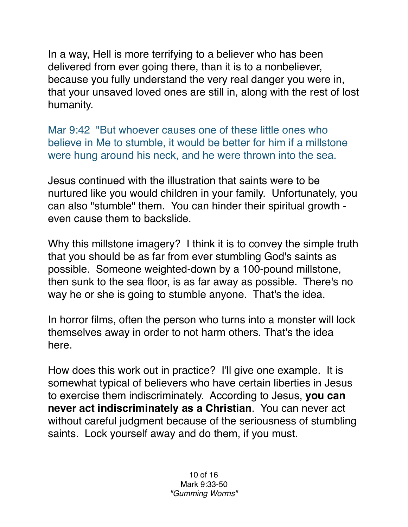In a way, Hell is more terrifying to a believer who has been delivered from ever going there, than it is to a nonbeliever, because you fully understand the very real danger you were in, that your unsaved loved ones are still in, along with the rest of lost humanity.

Mar 9:42 "But whoever causes one of these little ones who believe in Me to stumble, it would be better for him if a millstone were hung around his neck, and he were thrown into the sea.

Jesus continued with the illustration that saints were to be nurtured like you would children in your family. Unfortunately, you can also "stumble" them. You can hinder their spiritual growth even cause them to backslide.

Why this millstone imagery? I think it is to convey the simple truth that you should be as far from ever stumbling God's saints as possible. Someone weighted-down by a 100-pound millstone, then sunk to the sea floor, is as far away as possible. There's no way he or she is going to stumble anyone. That's the idea.

In horror films, often the person who turns into a monster will lock themselves away in order to not harm others. That's the idea here.

How does this work out in practice? I'll give one example. It is somewhat typical of believers who have certain liberties in Jesus to exercise them indiscriminately. According to Jesus, **you can never act indiscriminately as a Christian**. You can never act without careful judgment because of the seriousness of stumbling saints. Lock yourself away and do them, if you must.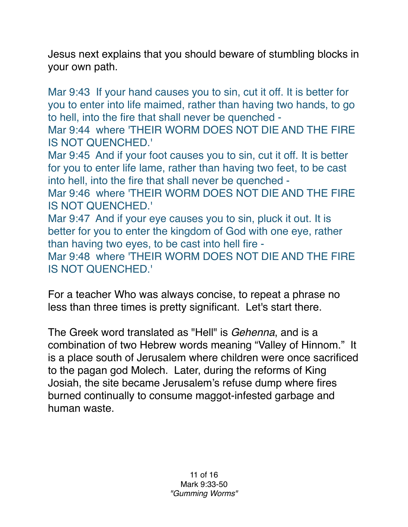Jesus next explains that you should beware of stumbling blocks in your own path.

Mar 9:43 If your hand causes you to sin, cut it off. It is better for you to enter into life maimed, rather than having two hands, to go to hell, into the fire that shall never be quenched -

Mar 9:44 where 'THEIR WORM DOES NOT DIE AND THE FIRE IS NOT QUENCHED.'

Mar 9:45 And if your foot causes you to sin, cut it off. It is better for you to enter life lame, rather than having two feet, to be cast into hell, into the fire that shall never be quenched -

Mar 9:46 where 'THEIR WORM DOES NOT DIE AND THE FIRE IS NOT QUENCHED.'

Mar 9:47 And if your eye causes you to sin, pluck it out. It is better for you to enter the kingdom of God with one eye, rather than having two eyes, to be cast into hell fire -

Mar 9:48 where 'THEIR WORM DOES NOT DIE AND THE FIRE IS NOT QUENCHED.'

For a teacher Who was always concise, to repeat a phrase no less than three times is pretty significant. Let's start there.

The Greek word translated as "Hell" is *Gehenna*, and is a combination of two Hebrew words meaning "Valley of Hinnom." It is a place south of Jerusalem where children were once sacrificed to the pagan god Molech. Later, during the reforms of King Josiah, the site became Jerusalem's refuse dump where fires burned continually to consume maggot-infested garbage and human waste.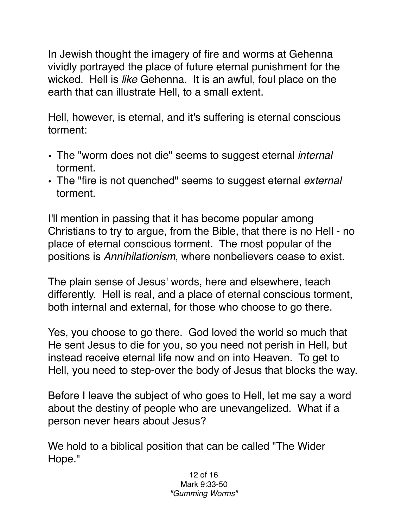In Jewish thought the imagery of fire and worms at Gehenna vividly portrayed the place of future eternal punishment for the wicked. Hell is *like* Gehenna. It is an awful, foul place on the earth that can illustrate Hell, to a small extent.

Hell, however, is eternal, and it's suffering is eternal conscious torment:

- The "worm does not die" seems to suggest eternal *internal* torment.
- The "fire is not quenched" seems to suggest eternal *external* torment.

I'll mention in passing that it has become popular among Christians to try to argue, from the Bible, that there is no Hell - no place of eternal conscious torment. The most popular of the positions is *Annihilationism*, where nonbelievers cease to exist.

The plain sense of Jesus' words, here and elsewhere, teach differently. Hell is real, and a place of eternal conscious torment, both internal and external, for those who choose to go there.

Yes, you choose to go there. God loved the world so much that He sent Jesus to die for you, so you need not perish in Hell, but instead receive eternal life now and on into Heaven. To get to Hell, you need to step-over the body of Jesus that blocks the way.

Before I leave the subject of who goes to Hell, let me say a word about the destiny of people who are unevangelized. What if a person never hears about Jesus?

We hold to a biblical position that can be called "The Wider Hope."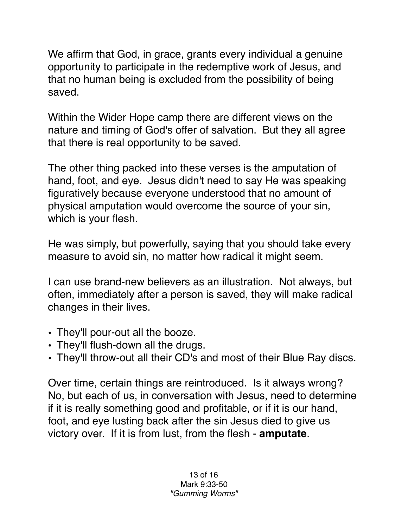We affirm that God, in grace, grants every individual a genuine opportunity to participate in the redemptive work of Jesus, and that no human being is excluded from the possibility of being saved.

Within the Wider Hope camp there are different views on the nature and timing of God's offer of salvation. But they all agree that there is real opportunity to be saved.

The other thing packed into these verses is the amputation of hand, foot, and eye. Jesus didn't need to say He was speaking figuratively because everyone understood that no amount of physical amputation would overcome the source of your sin, which is your flesh.

He was simply, but powerfully, saying that you should take every measure to avoid sin, no matter how radical it might seem.

I can use brand-new believers as an illustration. Not always, but often, immediately after a person is saved, they will make radical changes in their lives.

- They'll pour-out all the booze.
- They'll flush-down all the drugs.
- They'll throw-out all their CD's and most of their Blue Ray discs.

Over time, certain things are reintroduced. Is it always wrong? No, but each of us, in conversation with Jesus, need to determine if it is really something good and profitable, or if it is our hand, foot, and eye lusting back after the sin Jesus died to give us victory over. If it is from lust, from the flesh - **amputate**.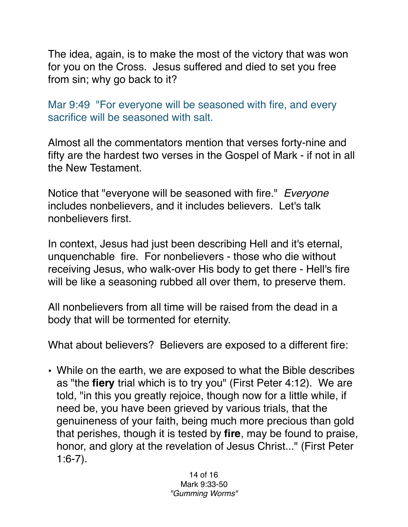The idea, again, is to make the most of the victory that was won for you on the Cross. Jesus suffered and died to set you free from sin; why go back to it?

Mar 9:49 "For everyone will be seasoned with fire, and every sacrifice will be seasoned with salt.

Almost all the commentators mention that verses forty-nine and fifty are the hardest two verses in the Gospel of Mark - if not in all the New Testament.

Notice that "everyone will be seasoned with fire." *Everyone* includes nonbelievers, and it includes believers. Let's talk nonbelievers first.

In context, Jesus had just been describing Hell and it's eternal, unquenchable fire. For nonbelievers - those who die without receiving Jesus, who walk-over His body to get there - Hell's fire will be like a seasoning rubbed all over them, to preserve them.

All nonbelievers from all time will be raised from the dead in a body that will be tormented for eternity.

What about believers? Believers are exposed to a different fire:

• While on the earth, we are exposed to what the Bible describes as "the **fiery** trial which is to try you" (First Peter 4:12). We are told, "in this you greatly rejoice, though now for a little while, if need be, you have been grieved by various trials, that the genuineness of your faith, being much more precious than gold that perishes, though it is tested by **fire**, may be found to praise, honor, and glory at the revelation of Jesus Christ..." (First Peter 1:6-7).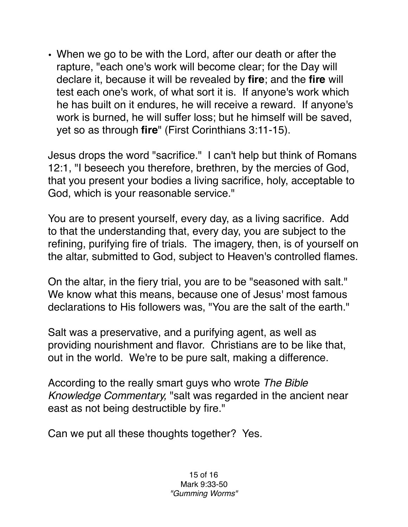• When we go to be with the Lord, after our death or after the rapture, "each one's work will become clear; for the Day will declare it, because it will be revealed by **fire**; and the **fire** will test each one's work, of what sort it is. If anyone's work which he has built on it endures, he will receive a reward. If anyone's work is burned, he will suffer loss; but he himself will be saved, yet so as through **fire**" (First Corinthians 3:11-15).

Jesus drops the word "sacrifice." I can't help but think of Romans 12:1, "I beseech you therefore, brethren, by the mercies of God, that you present your bodies a living sacrifice, holy, acceptable to God, which is your reasonable service."

You are to present yourself, every day, as a living sacrifice. Add to that the understanding that, every day, you are subject to the refining, purifying fire of trials. The imagery, then, is of yourself on the altar, submitted to God, subject to Heaven's controlled flames.

On the altar, in the fiery trial, you are to be "seasoned with salt." We know what this means, because one of Jesus' most famous declarations to His followers was, "You are the salt of the earth."

Salt was a preservative, and a purifying agent, as well as providing nourishment and flavor. Christians are to be like that, out in the world. We're to be pure salt, making a difference.

According to the really smart guys who wrote *The Bible Knowledge Commentary,* "salt was regarded in the ancient near east as not being destructible by fire."

Can we put all these thoughts together? Yes.